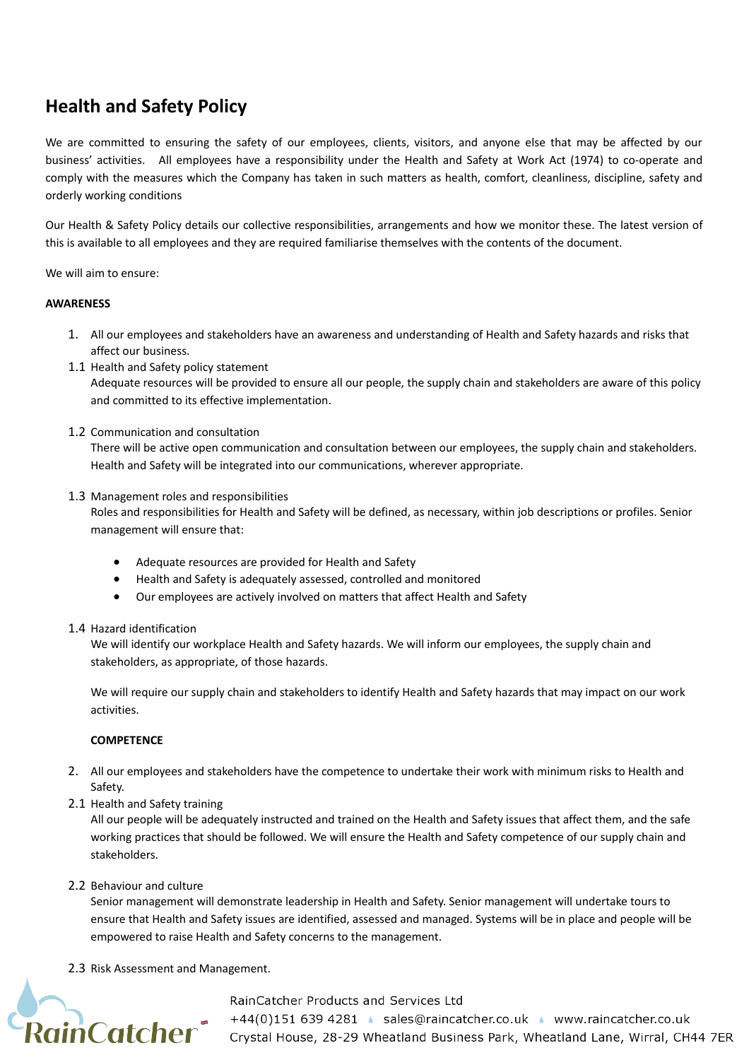# **Health and Safety Policy**

We are committed to ensuring the safety of our employees, clients, visitors, and anyone else that may be affected by our business' activities. All employees have a responsibility under the Health and Safety at Work Act (1974) to co-operate and comply with the measures which the Company has taken in such matters as health, comfort, cleanliness, discipline, safety and orderly working conditions

Our Health & Safety Policy details our collective responsibilities, arrangements and how we monitor these. The latest version of this is available to all employees and they are required familiarise themselves with the contents of the document.

We will aim to ensure:

## **AWARENESS**

- 1. All our employees and stakeholders have an awareness and understanding of Health and Safety hazards and risks that affect our business.
- 1.1 Health and Safety policy statement

Adequate resources will be provided to ensure all our people, the supply chain and stakeholders are aware of this policy and committed to its effective implementation.

1.2 Communication and consultation

There will be active open communication and consultation between our employees, the supply chain and stakeholders. Health and Safety will be integrated into our communications, wherever appropriate.

1.3 Management roles and responsibilities

Roles and responsibilities for Health and Safety will be defined, as necessary, within job descriptions or profiles. Senior management will ensure that:

- Adequate resources are provided for Health and Safety
- Health and Safety is adequately assessed, controlled and monitored
- Our employees are actively involved on matters that affect Health and Safety

#### 1.4 Hazard identification

We will identify our workplace Health and Safety hazards. We will inform our employees, the supply chain and stakeholders, as appropriate, of those hazards.

We will require our supply chain and stakeholders to identify Health and Safety hazards that may impact on our work activities.

## **COMPETENCE**

- 2. All our employees and stakeholders have the competence to undertake their work with minimum risks to Health and Safety.
- 2.1 Health and Safety training

All our people will be adequately instructed and trained on the Health and Safety issues that affect them, and the safe working practices that should be followed. We will ensure the Health and Safety competence of our supply chain and stakeholders.

2.2 Behaviour and culture

Senior management will demonstrate leadership in Health and Safety. Senior management will undertake tours to ensure that Health and Safety issues are identified, assessed and managed. Systems will be in place and people will be empowered to raise Health and Safety concerns to the management.

2.3 Risk Assessment and Management.



#### RainCatcher Products and Services Ltd

<sup>+44(0)151 639 4281</sup> Sales@raincatcher.co.uk • www.raincatcher.co.uk<br>RainCatcher crystal House, 28-29 Wheatland Business Park, Wheatland Lane, Wirral, CH44 7ER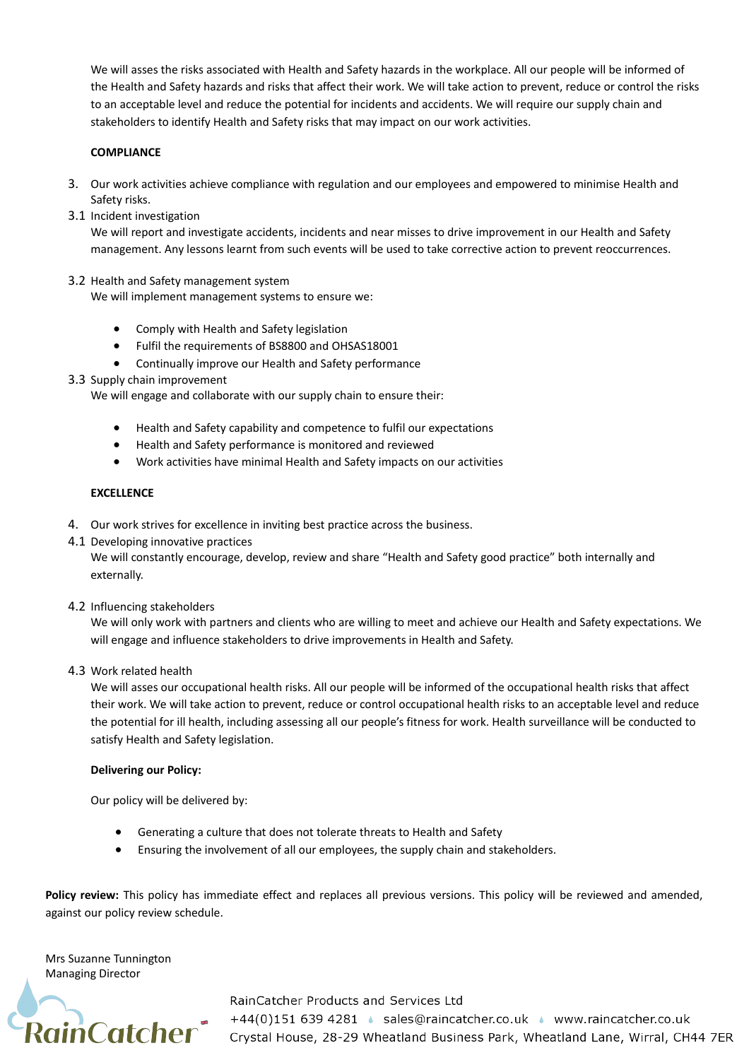We will asses the risks associated with Health and Safety hazards in the workplace. All our people will be informed of the Health and Safety hazards and risks that affect their work. We will take action to prevent, reduce or control the risks to an acceptable level and reduce the potential for incidents and accidents. We will require our supply chain and stakeholders to identify Health and Safety risks that may impact on our work activities.

## **COMPLIANCE**

- 3. Our work activities achieve compliance with regulation and our employees and empowered to minimise Health and Safety risks.
- 3.1 Incident investigation

We will report and investigate accidents, incidents and near misses to drive improvement in our Health and Safety management. Any lessons learnt from such events will be used to take corrective action to prevent reoccurrences.

## 3.2 Health and Safety management system

We will implement management systems to ensure we:

- Comply with Health and Safety legislation
- Fulfil the requirements of BS8800 and OHSAS18001
- Continually improve our Health and Safety performance
- 3.3 Supply chain improvement

We will engage and collaborate with our supply chain to ensure their:

- Health and Safety capability and competence to fulfil our expectations
- Health and Safety performance is monitored and reviewed
- Work activities have minimal Health and Safety impacts on our activities

### **EXCELLENCE**

- 4. Our work strives for excellence in inviting best practice across the business.
- 4.1 Developing innovative practices

We will constantly encourage, develop, review and share "Health and Safety good practice" both internally and externally.

4.2 Influencing stakeholders

We will only work with partners and clients who are willing to meet and achieve our Health and Safety expectations. We will engage and influence stakeholders to drive improvements in Health and Safety.

4.3 Work related health

We will asses our occupational health risks. All our people will be informed of the occupational health risks that affect their work. We will take action to prevent, reduce or control occupational health risks to an acceptable level and reduce the potential for ill health, including assessing all our people's fitness for work. Health surveillance will be conducted to satisfy Health and Safety legislation.

#### **Delivering our Policy:**

Our policy will be delivered by:

- Generating a culture that does not tolerate threats to Health and Safety
- Ensuring the involvement of all our employees, the supply chain and stakeholders.

Policy review: This policy has immediate effect and replaces all previous versions. This policy will be reviewed and amended, against our policy review schedule.

Mrs Suzanne Tunnington Managing Director